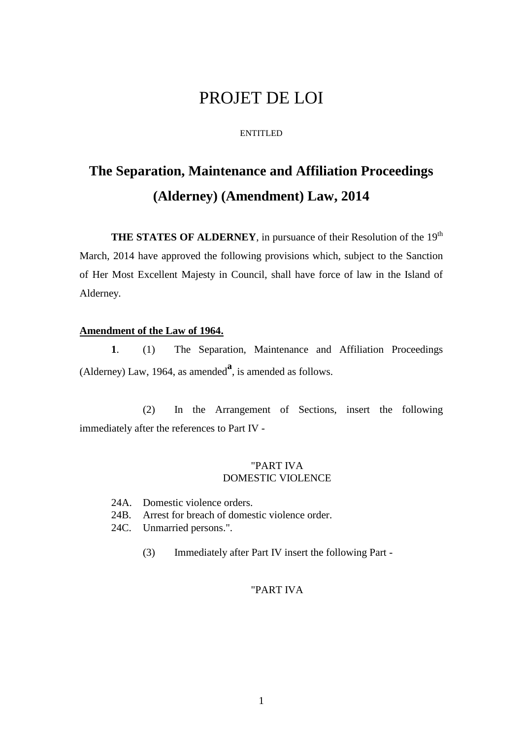# PROJET DE LOI

#### ENTITLED

# **The Separation, Maintenance and Affiliation Proceedings (Alderney) (Amendment) Law, 2014**

**THE STATES OF ALDERNEY**, in pursuance of their Resolution of the 19<sup>th</sup> March, 2014 have approved the following provisions which, subject to the Sanction of Her Most Excellent Majesty in Council, shall have force of law in the Island of Alderney.

#### **Amendment of the Law of 1964.**

**1**. (1) The Separation, Maintenance and Affiliation Proceedings (Alderney) Law, 1964, as amended<sup>a</sup>, is amended as follows.

(2) In the Arrangement of Sections, insert the following immediately after the references to Part IV -

# "PART IVA DOMESTIC VIOLENCE

- 24A. Domestic violence orders.
- 24B. Arrest for breach of domestic violence order.
- 24C. Unmarried persons.".
	- (3) Immediately after Part IV insert the following Part -

## "PART IVA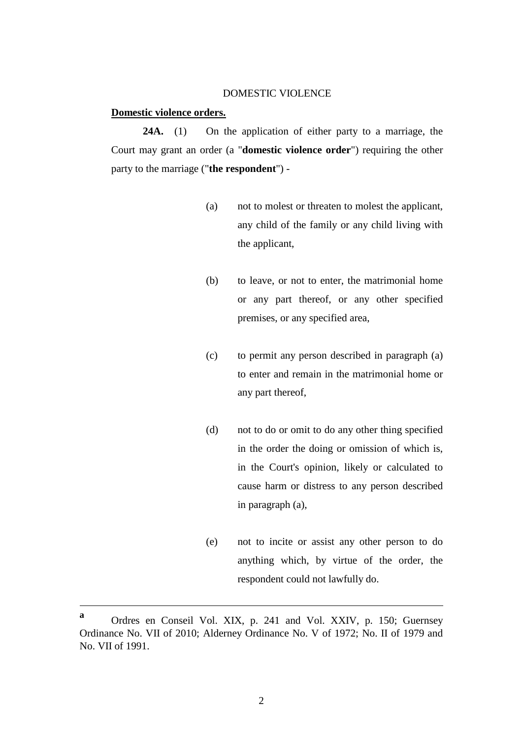#### DOMESTIC VIOLENCE

#### **Domestic violence orders.**

**24A.** (1) On the application of either party to a marriage, the Court may grant an order (a "**domestic violence order**") requiring the other party to the marriage ("**the respondent**") -

- (a) not to molest or threaten to molest the applicant, any child of the family or any child living with the applicant,
- (b) to leave, or not to enter, the matrimonial home or any part thereof, or any other specified premises, or any specified area,
- (c) to permit any person described in paragraph (a) to enter and remain in the matrimonial home or any part thereof,
- (d) not to do or omit to do any other thing specified in the order the doing or omission of which is, in the Court's opinion, likely or calculated to cause harm or distress to any person described in paragraph (a),
- (e) not to incite or assist any other person to do anything which, by virtue of the order, the respondent could not lawfully do.

1

**a** Ordres en Conseil Vol. XIX, p. 241 and Vol. XXIV, p. 150; Guernsey Ordinance No. VII of 2010; Alderney Ordinance No. V of 1972; No. II of 1979 and No. VII of 1991.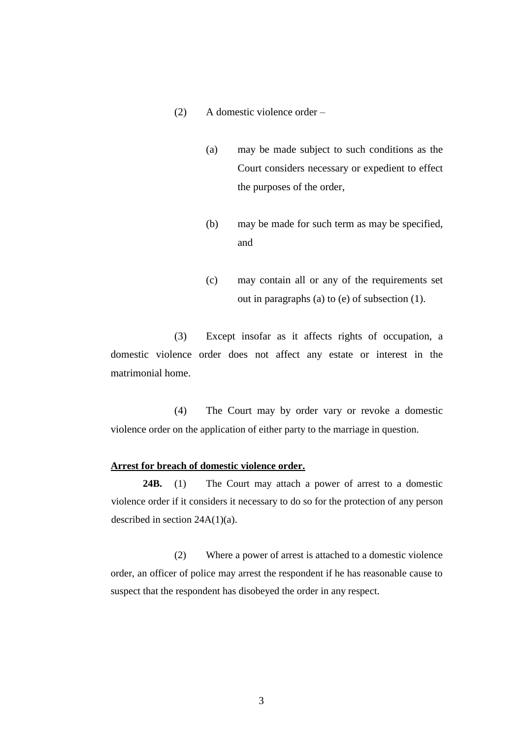- (2) A domestic violence order
	- (a) may be made subject to such conditions as the Court considers necessary or expedient to effect the purposes of the order,
	- (b) may be made for such term as may be specified, and
	- (c) may contain all or any of the requirements set out in paragraphs (a) to (e) of subsection (1).

(3) Except insofar as it affects rights of occupation, a domestic violence order does not affect any estate or interest in the matrimonial home.

(4) The Court may by order vary or revoke a domestic violence order on the application of either party to the marriage in question.

#### **Arrest for breach of domestic violence order.**

**24B.** (1) The Court may attach a power of arrest to a domestic violence order if it considers it necessary to do so for the protection of any person described in section 24A(1)(a).

(2) Where a power of arrest is attached to a domestic violence order, an officer of police may arrest the respondent if he has reasonable cause to suspect that the respondent has disobeyed the order in any respect.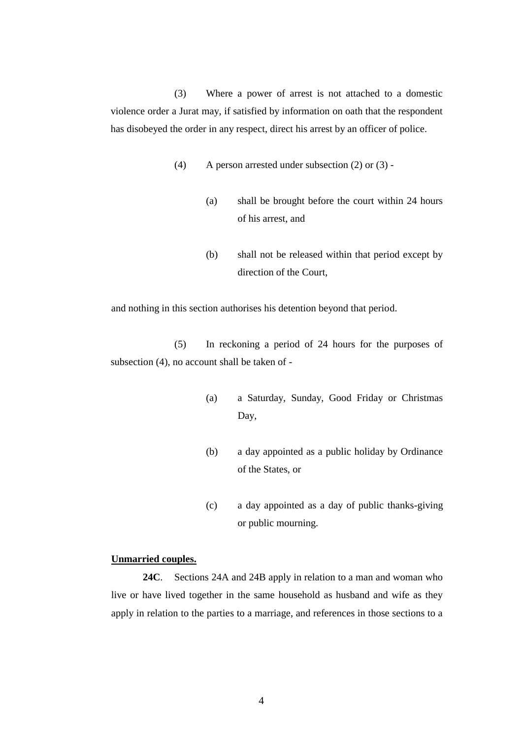(3) Where a power of arrest is not attached to a domestic violence order a Jurat may, if satisfied by information on oath that the respondent has disobeyed the order in any respect, direct his arrest by an officer of police.

- (4) A person arrested under subsection (2) or (3)
	- (a) shall be brought before the court within 24 hours of his arrest, and
	- (b) shall not be released within that period except by direction of the Court,

and nothing in this section authorises his detention beyond that period.

(5) In reckoning a period of 24 hours for the purposes of subsection (4), no account shall be taken of -

- (a) a Saturday, Sunday, Good Friday or Christmas Day,
- (b) a day appointed as a public holiday by Ordinance of the States, or
- (c) a day appointed as a day of public thanks-giving or public mourning.

#### **Unmarried couples.**

**24C**. Sections 24A and 24B apply in relation to a man and woman who live or have lived together in the same household as husband and wife as they apply in relation to the parties to a marriage, and references in those sections to a